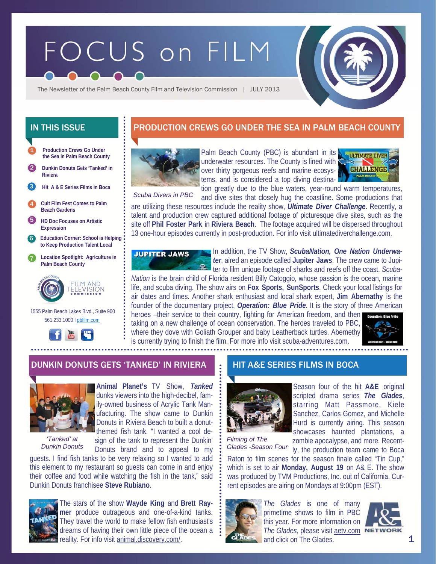# FOCUS on FILM



The Newsletter of the Palm Beach County Film and Television Commission | JULY 2013

**Production Crews Go Under the Sea in Palm Beach County**  1

2 **Dunkin Donuts Gets 'Tanked' in Riviera** 

**Hit A & E Series Films in Boca**  3

4 **Cult Film Fest Comes to Palm Beach Gardens** 

5 **HD Doc Focuses on Artistic Expression** 

6 **Education Corner: School is Helping to Keep Production Talent Local** 

7 **Location Spotlight: Agriculture in Palm Beach County** 



 1555 Palm Beach Lakes Blvd., Suite 900 561.233.1000 I pbfilm.com



## IN THIS ISSUE **PRODUCTION CREWS GO UNDER THE SEA IN PALM BEACH COUNTY**



Palm Beach County (PBC) is abundant in its **NATION ATTE DIVER** underwater resources. The County is lined with over thirty gorgeous reefs and marine ecosystems, and is considered a top diving destination greatly due to the blue waters, year-round warm temperatures,



*Scuba Divers in PBC* 

and dive sites that closely hug the coastline. Some productions that are utilizing these resources include the reality show, *Ultimate Diver Challenge*. Recently, a talent and production crew captured additional footage of picturesque dive sites, such as the site off **Phil Foster Park** in **Riviera Beach**. The footage acquired will be dispersed throughout 13 one-hour episodes currently in post-production. For info visit ultimatediverchallenge.com.



In addition, the TV Show, *ScubaNation, One Nation Underwater*, aired an episode called **Jupiter Jaws**. The crew came to Jupi-**Example:** The contact of sharks and reefs off the coast. *Scuba-*

*Nation* is the brain child of Florida resident Billy Catoggio, whose passion is the ocean, marine life, and scuba diving. The show airs on **Fox Sports, SunSports**. Check your local listings for air dates and times. Another shark enthusiast and local shark expert, **Jim Abernathy** is the founder of the documentary project, *Operation: Blue Pride*. It is the story of three American heroes –their service to their country, fighting for American freedom, and then

taking on a new challenge of ocean conservation. The heroes traveled to PBC, where they dove with Goliath Grouper and baby Leatherback turtles. Abernethy is currently trying to finish the film. For more info visit scuba-adventures.com.



#### DUNKIN DONUTS GETS 'TANKED' IN RIVIERA HIT A&E SERIES FILMS IN BOCA



*'Tanked' at Dunkin Donuts* 

**Animal Planet's** TV Show, *Tanked* dunks viewers into the high-decibel, family-owned business of Acrylic Tank Manufacturing. The show came to Dunkin Donuts in Riviera Beach to built a donutthemed fish tank. "I wanted a cool design of the tank to represent the Dunkin'

Donuts brand and to appeal to my

guests. I find fish tanks to be very relaxing so I wanted to add this element to my restaurant so guests can come in and enjoy their coffee and food while watching the fish in the tank," said Dunkin Donuts franchisee **Steve Rubiano**.



The stars of the show **Wayde King** and **Brett Raymer** produce outrageous and one-of-a-kind tanks. They travel the world to make fellow fish enthusiast's dreams of having their own little piece of the ocean a reality. For info visit animal.discovery.com/.



Season four of the hit **A&E** original scripted drama series *The Glades*, starring Matt Passmore, Kiele Sanchez, Carlos Gomez, and Michelle Hurd is currently airing. This season showcases haunted plantations, a

*Filming of The Glades -Season Four* 

zombie apocalypse, and more. Recently, the production team came to Boca Raton to film scenes for the season finale called "Tin Cup," which is set to air **Monday, August 19** on A& E. The show was produced by TVM Productions, Inc. out of California. Cur-



*The Glades* is one of many primetime shows to film in PBC this year. For more information on *The Glades*, please visit aetv.com and click on The Glades.

rent episodes are airing on Mondays at 9:00pm (EST).

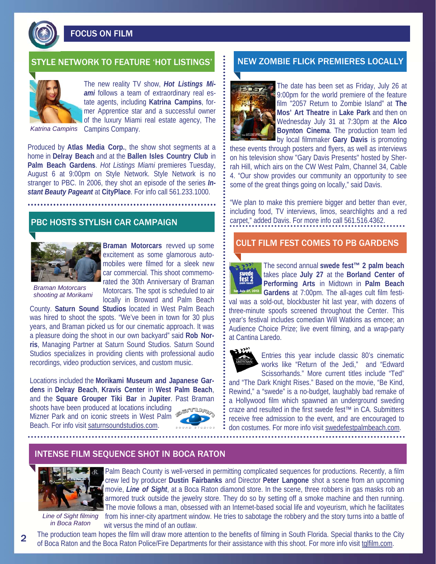FOCUS ON FILM

#### STYLE NETWORK TO FEATURE 'HOT LISTINGS' NEW ZOMBIE FLICK PREMIERES LOCALLY



The new reality TV show, *Hot Listings Miami* follows a team of extraordinary real estate agents, including **Katrina Campins**, former Apprentice star and a successful owner of the luxury Miami real estate agency, The

*Katrina Campins* 

Campins Company.

Produced by **Atlas Media Corp.**, the show shot segments at a home in **Delray Beach** and at the **Ballen Isles Country Club** in **Palm Beach Gardens**. *Hot Listings Miami* premieres Tuesday, August 6 at 9:00pm on Style Network. Style Network is no stranger to PBC. In 2006, they shot an episode of the series *Instant Beauty Pageant* at **CityPlace**. For info call 561.233.1000.

#### PBC HOSTS STYLISH CAR CAMPAIGN



**Braman Motorcars** revved up some excitement as some glamorous automobiles were filmed for a sleek new car commercial. This shoot commemorated the 30th Anniversary of Braman Motorcars. The spot is scheduled to air locally in Broward and Palm Beach

*Braman Motorcars shooting at Morikami* 

County. **Saturn Sound Studios** located in West Palm Beach was hired to shoot the spots. "We've been in town for 30 plus years, and Braman picked us for our cinematic approach. It was a pleasure doing the shoot in our own backyard" said **Rob Norris**, Managing Partner at Saturn Sound Studios. Saturn Sound Studios specializes in providing clients with professional audio recordings, video production services, and custom music.

Locations included the **Morikami Museum and Japanese Gardens** in **Delray Beach**, **Kravis Center** in **West Palm Beach**, and the **Square Grouper Tiki Bar** in **Jupiter**. Past Braman

shoots have been produced at locations including Mizner Park and on iconic streets in West Palm Beach. For info visit saturnsoundstudios.com.





The date has been set as Friday, July 26 at 9:00pm for the world premiere of the feature film "2057 Return to Zombie Island" at **The Mos' Art Theatre** in **Lake Park** and then on Wednesday July 31 at 7:30pm at the **Alco Boynton Cinema**. The production team led by local filmmaker **Gary Davis** is promoting

these events through posters and flyers, as well as interviews on his television show "Gary Davis Presents" hosted by Sherrah Hill, which airs on the CW West Palm, Channel 34, Cable 4. "Our show provides our community an opportunity to see some of the great things going on locally," said Davis.

"We plan to make this premiere bigger and better than ever, including food, TV interviews, limos, searchlights and a red carpet," added Davis. For more info call 561.516.4362.

#### CULT FILM FEST COMES TO PB GARDENS



The second annual **swede fest™ 2 palm beach**  takes place **July 27** at the **Borland Center of Performing Arts** in Midtown in **Palm Beach Gardens** at 7:00pm. The all-ages cult film festi-

val was a sold-out, blockbuster hit last year, with dozens of three-minute spoofs screened throughout the Center. This year's festival includes comedian Will Watkins as emcee; an Audience Choice Prize; live event filming, and a wrap-party at Cantina Laredo.



Entries this year include classic 80's cinematic works like "Return of the Jedi," and "Edward Scissorhands." More current titles include "Ted"

and "The Dark Knight Rises." Based on the movie, "Be Kind, Rewind," a "swede" is a no-budget, laughably bad remake of a Hollywood film which spawned an underground sweding craze and resulted in the first swede fest™ in CA. Submitters receive free admission to the event, and are encouraged to don costumes. For more info visit swedefestpalmbeach.com.

#### INTENSE FILM SEQUENCE SHOT IN BOCA RATON



Palm Beach County is well-versed in permitting complicated sequences for productions. Recently, a film crew led by producer **Dustin Fairbanks** and Director **Peter Langone** shot a scene from an upcoming movie, *Line of Sight*, at a Boca Raton diamond store. In the scene, three robbers in gas masks rob an armored truck outside the jewelry store. They do so by setting off a smoke machine and then running. The movie follows a man, obsessed with an Internet-based social life and voyeurism, which he facilitates from his inner-city apartment window. He tries to sabotage the robbery and the story turns into a battle of wit versus the mind of an outlaw.

*Line of Sight filming in Boca Raton* 

2

The production team hopes the film will draw more attention to the benefits of filming in South Florida. Special thanks to the City of Boca Raton and the Boca Raton Police/Fire Departments for their assistance with this shoot. For more info visit tglfilm.com.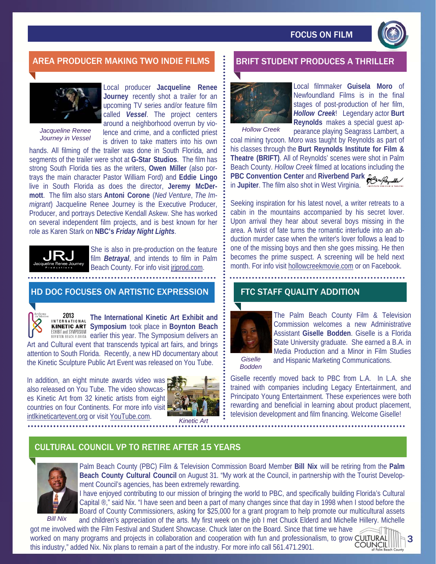

## AREA PRODUCER MAKING TWO INDIE FILMS BRIFT STUDENT PRODUCES A THRILLER



*Jacqueline Renee Journey in Vessel* 

Local producer **Jacqueline Renee Journey** recently shot a trailer for an upcoming TV series and/or feature film called *Vessel*. The project centers around a neighborhood overrun by violence and crime, and a conflicted priest is driven to take matters into his own

hands. All filming of the trailer was done in South Florida, and segments of the trailer were shot at **G-Star Studios**. The film has strong South Florida ties as the writers, **Owen Miller** (also portrays the main character Pastor William Ford) and **Eddie Lingo**  live in South Florida as does the director, **Jeremy McDermott**. The film also stars **Antoni Corone** (*Ned Venture*, *The Immigrant*) Jacqueline Renee Journey is the Executive Producer, Producer, and portrays Detective Kendall Askew. She has worked on several independent film projects, and is best known for her role as Karen Stark on **NBC's** *Friday Night Lights*.



She is also in pre-production on the feature film *Betrayal*, and intends to film in Palm Beach County. For info visit jrjprod.com.

#### HD DOC FOCUSES ON ARTISTIC EXPRESSION



2013 **The International Kinetic Art Exhibit and**  INTERNATIONAL **Symposium** took place in **Boynton Beach**  EXHIBIT and SYMPOSIUM **Cymposium delivers and Symposium delivers an** 

Art and Cultural event that transcends typical art fairs, and brings attention to South Florida. Recently, a new HD documentary about the Kinetic Sculpture Public Art Event was released on You Tube.

In addition, an eight minute awards video was also released on You Tube. The video showcases Kinetic Art from 32 kinetic artists from eight countries on four Continents. For more info visit intlkineticartevent.org or visit YouTube.com.



*Kinetic Art* 



*Hollow Creek* 

Local filmmaker **Guisela Moro** of Newfoundland Films is in the final stages of post-production of her film, *Hollow Creek*! Legendary actor **Burt Reynolds** makes a special guest ap-

pearance playing Seagrass Lambert, a coal mining tycoon. Moro was taught by Reynolds as part of his classes through the **Burt Reynolds Institute for Film & Theatre (BRIFT)**. All of Reynolds' scenes were shot in Palm Beach County. *Hollow Creek* filmed at locations including the **PBC Convention Center** and **Riverbend Park**  in **Jupiter**. The film also shot in West Virginia.

Seeking inspiration for his latest novel, a writer retreats to a cabin in the mountains accompanied by his secret lover. Upon arrival they hear about several boys missing in the area. A twist of fate turns the romantic interlude into an abduction murder case when the writer's lover follows a lead to one of the missing boys and then she goes missing. He then becomes the prime suspect. A screening will be held next month. For info visit hollowcreekmovie.com or on Facebook.

### FTC STAFF QUALITY ADDITION



The Palm Beach County Film & Television Commission welcomes a new Administrative Assistant **Giselle Bodden**. Giselle is a Florida State University graduate. She earned a B.A. in Media Production and a Minor in Film Studies and Hispanic Marketing Communications.

*Giselle Bodden* 

Giselle recently moved back to PBC from L.A. In L.A. she trained with companies including Legacy Entertainment, and Principato Young Entertainment. These experiences were both rewarding and beneficial in learning about product placement, television development and film financing. Welcome Giselle!

### CULTURAL COUNCIL VP TO RETIRE AFTER 15 YEARS



Palm Beach County (PBC) Film & Television Commission Board Member **Bill Nix** will be retiring from the **Palm Beach County Cultural Council** on August 31. "My work at the Council, in partnership with the Tourist Development Council's agencies, has been extremely rewarding.

I have enjoyed contributing to our mission of bringing the world to PBC, and specifically building Florida's Cultural Capital ®," said Nix. "I have seen and been a part of many changes since that day in 1998 when I stood before the Board of County Commissioners, asking for \$25,000 for a grant program to help promote our multicultural assets and children's appreciation of the arts. My first week on the job I met Chuck Elderd and Michelle Hillery. Michelle

got me involved with the Film Festival and Student Showcase. Chuck later on the Board. Since that time we have worked on many programs and projects in collaboration and cooperation with fun and professionalism, to grow CULTURAL this industry," added Nix. Nix plans to remain a part of the industry. For more info call 561.471.2901.